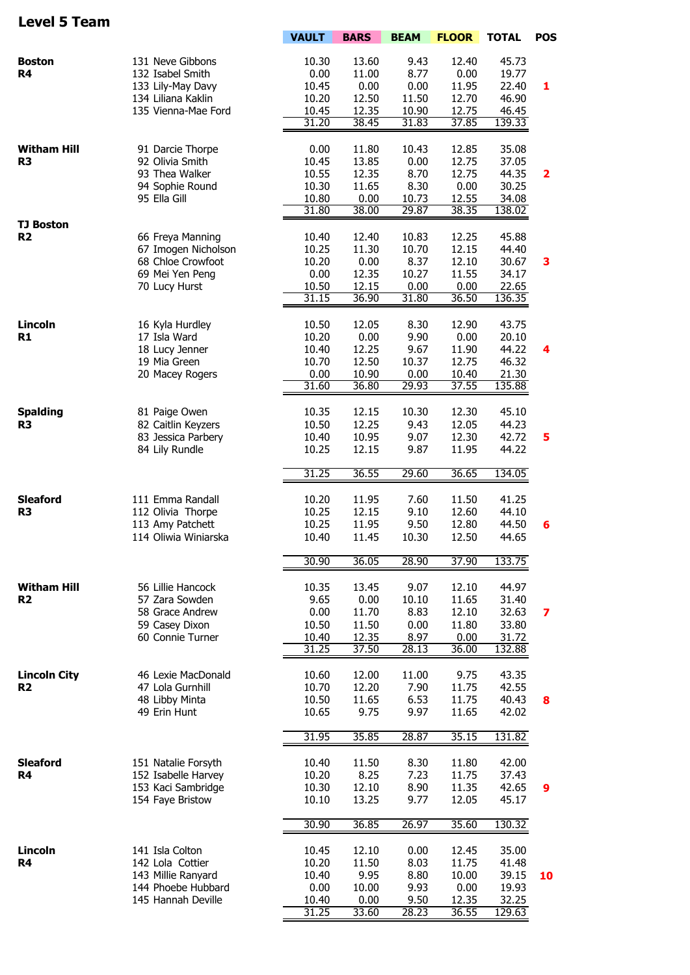## **Level 5 Team**

|                                      |                                       | <b>VAULT</b>   | <b>BARS</b>    | <b>BEAM</b>   | <b>FLOOR</b>   | <b>TOTAL</b>    | <b>POS</b>              |
|--------------------------------------|---------------------------------------|----------------|----------------|---------------|----------------|-----------------|-------------------------|
| <b>Boston</b>                        | 131 Neve Gibbons                      | 10.30          | 13.60          | 9.43          | 12.40          | 45.73           |                         |
| R <sub>4</sub>                       | 132 Isabel Smith                      | 0.00           | 11.00          | 8.77          | 0.00           | 19.77           |                         |
|                                      | 133 Lily-May Davy                     | 10.45          | 0.00           | 0.00          | 11.95          | 22.40           | 1                       |
|                                      | 134 Liliana Kaklin                    | 10.20          | 12.50          | 11.50         | 12.70          | 46.90           |                         |
|                                      | 135 Vienna-Mae Ford                   | 10.45          | 12.35          | 10.90         | 12.75          | 46.45           |                         |
|                                      |                                       | 31.20          | 38.45          | 31.83         | 37.85          | 139.33          |                         |
|                                      |                                       |                |                |               |                |                 |                         |
| <b>Witham Hill</b>                   | 91 Darcie Thorpe                      | 0.00           | 11.80          | 10.43         | 12.85          | 35.08           |                         |
| R <sub>3</sub>                       | 92 Olivia Smith<br>93 Thea Walker     | 10.45          | 13.85          | 0.00<br>8.70  | 12.75<br>12.75 | 37.05<br>44.35  |                         |
|                                      | 94 Sophie Round                       | 10.55<br>10.30 | 12.35<br>11.65 | 8.30          | 0.00           | 30.25           | $\overline{\mathbf{2}}$ |
|                                      | 95 Ella Gill                          | 10.80          | 0.00           | 10.73         | 12.55          | 34.08           |                         |
|                                      |                                       | 31.80          | 38.00          | 29.87         | 38.35          | 138.02          |                         |
| <b>TJ Boston</b>                     |                                       |                |                |               |                |                 |                         |
| R <sub>2</sub>                       | 66 Freya Manning                      | 10.40          | 12.40          | 10.83         | 12.25          | 45.88           |                         |
|                                      | 67 Imogen Nicholson                   | 10.25          | 11.30          | 10.70         | 12.15          | 44.40           |                         |
|                                      | 68 Chloe Crowfoot                     | 10.20          | 0.00           | 8.37          | 12.10          | 30.67           | 3                       |
|                                      | 69 Mei Yen Peng                       | 0.00           | 12.35          | 10.27         | 11.55          | 34.17           |                         |
|                                      | 70 Lucy Hurst                         | 10.50<br>31.15 | 12.15<br>36.90 | 0.00<br>31.80 | 0.00<br>36.50  | 22.65<br>136.35 |                         |
|                                      |                                       |                |                |               |                |                 |                         |
| Lincoln                              | 16 Kyla Hurdley                       | 10.50          | 12.05          | 8.30          | 12.90          | 43.75           |                         |
| R1                                   | 17 Isla Ward                          | 10.20          | 0.00           | 9.90          | 0.00           | 20.10           |                         |
|                                      | 18 Lucy Jenner                        | 10.40          | 12.25          | 9.67          | 11.90          | 44.22           | 4                       |
|                                      | 19 Mia Green                          | 10.70          | 12.50          | 10.37         | 12.75          | 46.32           |                         |
|                                      | 20 Macey Rogers                       | 0.00           | 10.90          | 0.00          | 10.40          | 21.30           |                         |
|                                      |                                       | 31.60          | 36.80          | 29.93         | 37.55          | 135.88          |                         |
|                                      |                                       |                |                |               |                |                 |                         |
| <b>Spalding</b><br>R <sub>3</sub>    | 81 Paige Owen<br>82 Caitlin Keyzers   | 10.35<br>10.50 | 12.15<br>12.25 | 10.30<br>9.43 | 12.30<br>12.05 | 45.10<br>44.23  |                         |
|                                      | 83 Jessica Parbery                    | 10.40          | 10.95          | 9.07          | 12.30          | 42.72           | 5                       |
|                                      | 84 Lily Rundle                        | 10.25          | 12.15          | 9.87          | 11.95          | 44.22           |                         |
|                                      |                                       |                |                |               |                |                 |                         |
|                                      |                                       | 31.25          | 36.55          | 29.60         | 36.65          | 134.05          |                         |
|                                      |                                       |                |                |               |                |                 |                         |
| <b>Sleaford</b><br>R <sub>3</sub>    | 111 Emma Randall<br>112 Olivia Thorpe | 10.20<br>10.25 | 11.95<br>12.15 | 7.60<br>9.10  | 11.50<br>12.60 | 41.25<br>44.10  |                         |
|                                      | 113 Amy Patchett                      | 10.25          | 11.95          | 9.50          | 12.80          | 44.50           | 6                       |
|                                      | 114 Oliwia Winiarska                  | 10.40          | 11.45          | 10.30         | 12.50          | 44.65           |                         |
|                                      |                                       |                |                |               |                |                 |                         |
|                                      |                                       | 30.90          | 36.05          | 28.90         | 37.90          | 133.75          |                         |
|                                      |                                       |                |                |               |                |                 |                         |
| <b>Witham Hill</b><br>R <sub>2</sub> | 56 Lillie Hancock                     | 10.35<br>9.65  | 13.45          | 9.07          | 12.10<br>11.65 | 44.97           |                         |
|                                      | 57 Zara Sowden<br>58 Grace Andrew     | 0.00           | 0.00<br>11.70  | 10.10<br>8.83 | 12.10          | 31.40<br>32.63  | 7                       |
|                                      | 59 Casey Dixon                        | 10.50          | 11.50          | 0.00          | 11.80          | 33.80           |                         |
|                                      | 60 Connie Turner                      | 10.40          | 12.35          | 8.97          | 0.00           | 31.72           |                         |
|                                      |                                       | 31.25          | 37.50          | 28.13         | 36.00          | 132.88          |                         |
|                                      |                                       |                |                |               |                |                 |                         |
| <b>Lincoln City</b>                  | 46 Lexie MacDonald                    | 10.60          | 12.00          | 11.00         | 9.75           | 43.35           |                         |
| R <sub>2</sub>                       | 47 Lola Gurnhill<br>48 Libby Minta    | 10.70<br>10.50 | 12.20<br>11.65 | 7.90<br>6.53  | 11.75<br>11.75 | 42.55<br>40.43  | 8                       |
|                                      | 49 Erin Hunt                          | 10.65          | 9.75           | 9.97          | 11.65          | 42.02           |                         |
|                                      |                                       |                |                |               |                |                 |                         |
|                                      |                                       | 31.95          | 35.85          | 28.87         | 35.15          | 131.82          |                         |
| <b>Sleaford</b>                      | 151 Natalie Forsyth                   | 10.40          | 11.50          | 8.30          | 11.80          | 42.00           |                         |
| R4                                   | 152 Isabelle Harvey                   | 10.20          | 8.25           | 7.23          | 11.75          | 37.43           |                         |
|                                      | 153 Kaci Sambridge                    | 10.30          | 12.10          | 8.90          | 11.35          | 42.65           | 9                       |
|                                      | 154 Faye Bristow                      | 10.10          | 13.25          | 9.77          | 12.05          | 45.17           |                         |
|                                      |                                       |                |                |               |                |                 |                         |
|                                      |                                       | 30.90          | 36.85          | 26.97         | 35.60          | 130.32          |                         |
| Lincoln                              | 141 Isla Colton                       | 10.45          | 12.10          | 0.00          | 12.45          | 35.00           |                         |
| <b>R4</b>                            | 142 Lola Cottier                      | 10.20          | 11.50          | 8.03          | 11.75          | 41.48           |                         |
|                                      | 143 Millie Ranyard                    | 10.40          | 9.95           | 8.80          | 10.00          | 39.15           | 10                      |
|                                      | 144 Phoebe Hubbard                    | 0.00           | 10.00          | 9.93          | 0.00           | 19.93           |                         |
|                                      | 145 Hannah Deville                    | 10.40<br>31.25 | 0.00<br>33.60  | 9.50<br>28.23 | 12.35<br>36.55 | 32.25<br>129.63 |                         |
|                                      |                                       |                |                |               |                |                 |                         |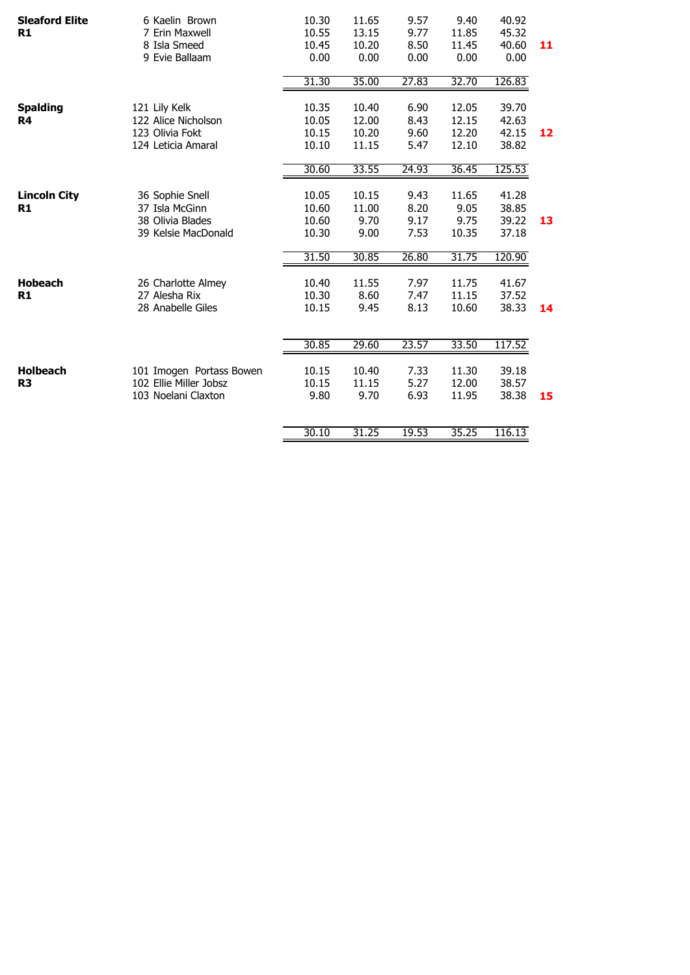| <b>Sleaford Elite</b><br>R1       | 6 Kaelin Brown<br>7 Erin Maxwell<br>8 Isla Smeed<br>9 Evie Ballaam            | 10.30<br>10.55<br>10.45<br>0.00  | 11.65<br>13.15<br>10.20<br>0.00  | 9.57<br>9.77<br>8.50<br>0.00 | 9.40<br>11.85<br>11.45<br>0.00   | 40.92<br>45.32<br>40.60<br>0.00  | 11 |
|-----------------------------------|-------------------------------------------------------------------------------|----------------------------------|----------------------------------|------------------------------|----------------------------------|----------------------------------|----|
|                                   |                                                                               | 31.30                            | 35.00                            | 27.83                        | 32.70                            | 126.83                           |    |
| <b>Spalding</b><br>R4             | 121 Lily Kelk<br>122 Alice Nicholson<br>123 Olivia Fokt<br>124 Leticia Amaral | 10.35<br>10.05<br>10.15<br>10.10 | 10.40<br>12.00<br>10.20<br>11.15 | 6.90<br>8.43<br>9.60<br>5.47 | 12.05<br>12.15<br>12.20<br>12.10 | 39.70<br>42.63<br>42.15<br>38.82 | 12 |
|                                   |                                                                               | 30.60                            | 33.55                            | 24.93                        | 36.45                            | 125.53                           |    |
| <b>Lincoln City</b><br>R1         | 36 Sophie Snell<br>37 Isla McGinn<br>38 Olivia Blades<br>39 Kelsie MacDonald  | 10.05<br>10.60<br>10.60<br>10.30 | 10.15<br>11.00<br>9.70<br>9.00   | 9.43<br>8.20<br>9.17<br>7.53 | 11.65<br>9.05<br>9.75<br>10.35   | 41.28<br>38.85<br>39.22<br>37.18 | 13 |
|                                   |                                                                               | 31.50                            | 30.85                            | 26.80                        | 31.75                            | 120.90                           |    |
| <b>Hobeach</b><br>R1              | 26 Charlotte Almey<br>27 Alesha Rix<br>28 Anabelle Giles                      | 10.40<br>10.30<br>10.15          | 11.55<br>8.60<br>9.45            | 7.97<br>7.47<br>8.13         | 11.75<br>11.15<br>10.60          | 41.67<br>37.52<br>38.33          | 14 |
|                                   |                                                                               | 30.85                            | 29.60                            | 23.57                        | 33.50                            | 117.52                           |    |
| <b>Holbeach</b><br>R <sub>3</sub> | 101 Imogen Portass Bowen<br>102 Ellie Miller Jobsz<br>103 Noelani Claxton     | 10.15<br>10.15<br>9.80           | 10.40<br>11.15<br>9.70           | 7.33<br>5.27<br>6.93         | 11.30<br>12.00<br>11.95          | 39.18<br>38.57<br>38.38          | 15 |
|                                   |                                                                               | 30.10                            | 31.25                            | 19.53                        | 35.25                            | 116.13                           |    |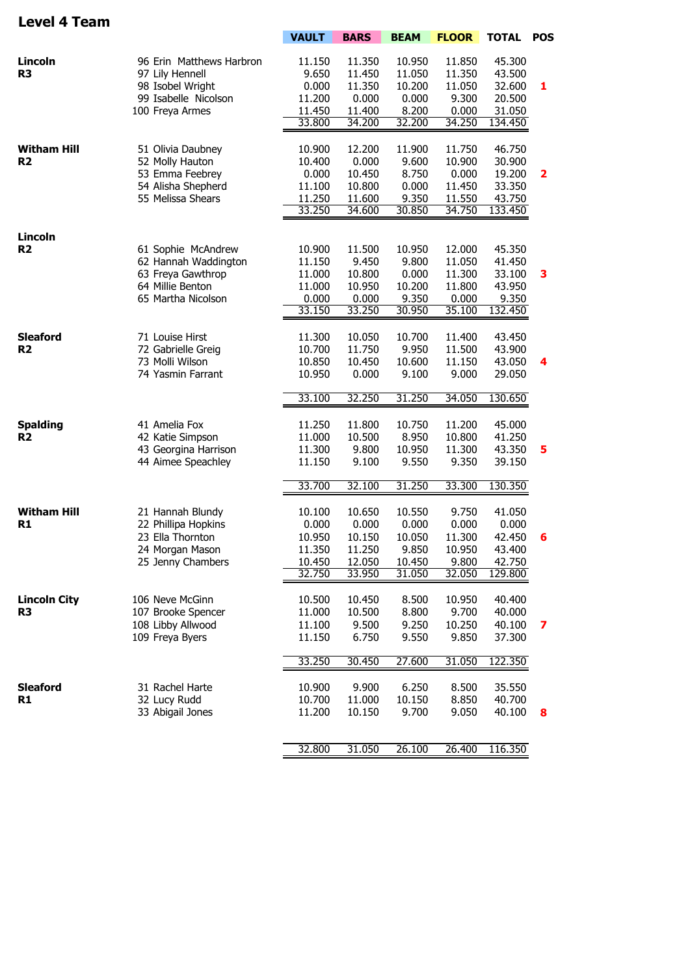## **Level 4 Team**

|                     |                          | <b>VAULT</b> | <b>BARS</b> | <b>BEAM</b>     | <b>FLOOR</b> | <b>TOTAL POS</b> |                 |
|---------------------|--------------------------|--------------|-------------|-----------------|--------------|------------------|-----------------|
|                     |                          |              |             |                 |              |                  |                 |
| Lincoln             | 96 Erin Matthews Harbron | 11.150       | 11.350      | 10.950          | 11.850       | 45.300           |                 |
| R <sub>3</sub>      | 97 Lily Hennell          | 9.650        | 11.450      | 11.050          | 11.350       | 43.500           |                 |
|                     | 98 Isobel Wright         | 0.000        | 11.350      | 10.200          | 11.050       | 32.600           | 1               |
|                     | 99 Isabelle Nicolson     | 11.200       | 0.000       | 0.000           | 9.300        | 20.500           |                 |
|                     | 100 Freya Armes          | 11.450       | 11.400      | 8.200           | 0.000        | 31.050           |                 |
|                     |                          | 33.800       | 34.200      | 32.200          | 34.250       | 134.450          |                 |
|                     |                          |              |             |                 |              |                  |                 |
| <b>Witham Hill</b>  | 51 Olivia Daubney        | 10.900       | 12.200      | 11.900          | 11.750       | 46.750           |                 |
| R <sub>2</sub>      | 52 Molly Hauton          | 10.400       | 0.000       | 9.600           | 10.900       | 30.900           |                 |
|                     | 53 Emma Feebrey          | 0.000        | 10.450      | 8.750           | 0.000        | 19.200           | 2               |
|                     | 54 Alisha Shepherd       | 11.100       | 10.800      | 0.000           | 11.450       | 33.350           |                 |
|                     | 55 Melissa Shears        | 11.250       | 11.600      | 9.350           | 11.550       | 43.750           |                 |
|                     |                          | 33.250       | 34.600      | 30.850          | 34.750       | 133.450          |                 |
|                     |                          |              |             |                 |              |                  |                 |
| Lincoln             |                          |              |             |                 |              |                  |                 |
| R <sub>2</sub>      | 61 Sophie McAndrew       | 10.900       | 11.500      | 10.950          | 12.000       | 45.350           |                 |
|                     | 62 Hannah Waddington     | 11.150       | 9.450       | 9.800           | 11.050       | 41.450           |                 |
|                     | 63 Freya Gawthrop        | 11.000       | 10.800      | 0.000           | 11.300       | 33.100           | 3               |
|                     | 64 Millie Benton         | 11.000       | 10.950      | 10.200          | 11.800       | 43.950           |                 |
|                     | 65 Martha Nicolson       | 0.000        | 0.000       | 9.350           | 0.000        | 9.350            |                 |
|                     |                          | 33.150       | 33.250      | 30.950          | 35.100       | 132.450          |                 |
|                     |                          |              |             |                 |              |                  |                 |
| <b>Sleaford</b>     | 71 Louise Hirst          | 11.300       | 10.050      | 10.700          | 11.400       | 43.450           |                 |
| R <sub>2</sub>      | 72 Gabrielle Greig       | 10.700       | 11.750      | 9.950           | 11.500       | 43.900           |                 |
|                     | 73 Molli Wilson          | 10.850       | 10.450      | 10.600          | 11.150       | 43.050           | $\overline{4}$  |
|                     | 74 Yasmin Farrant        | 10.950       | 0.000       | 9.100           | 9.000        | 29.050           |                 |
|                     |                          |              |             |                 |              |                  |                 |
|                     |                          | 33.100       | 32.250      | 31.250          | 34.050       | 130.650          |                 |
|                     |                          |              |             |                 |              |                  |                 |
| <b>Spalding</b>     | 41 Amelia Fox            | 11.250       | 11.800      | 10.750          | 11.200       | 45.000           |                 |
| R <sub>2</sub>      | 42 Katie Simpson         | 11.000       | 10.500      | 8.950           | 10.800       | 41.250           |                 |
|                     | 43 Georgina Harrison     | 11.300       | 9.800       | 10.950          | 11.300       | 43.350           | 5               |
|                     | 44 Aimee Speachley       | 11.150       | 9.100       | 9.550           | 9.350        | 39.150           |                 |
|                     |                          |              |             |                 |              |                  |                 |
|                     |                          | 33.700       | 32.100      | 31.250          | 33.300       | 130.350          |                 |
| <b>Witham Hill</b>  | 21 Hannah Blundy         | 10.100       | 10.650      | 10.550          | 9.750        | 41.050           |                 |
| R <sub>1</sub>      | 22 Phillipa Hopkins      | 0.000        | 0.000       | 0.000           | 0.000        | 0.000            |                 |
|                     |                          |              |             |                 |              |                  |                 |
|                     | 23 Ella Thornton         | 10.950       | 10.150      | 10.050          | 11.300       | 42.450           | $6\phantom{1}6$ |
|                     | 24 Morgan Mason          | 11.350       | 11.250      | 9.850           | 10.950       | 43.400           |                 |
|                     | 25 Jenny Chambers        | 10.450       | 12.050      | 10.450          | 9.800        | 42.750           |                 |
|                     |                          | 32.750       | 33.950      | 31.050          | 32.050       | 129.800          |                 |
|                     |                          |              |             |                 |              |                  |                 |
| <b>Lincoln City</b> | 106 Neve McGinn          | 10.500       | 10.450      | 8.500           | 10.950       | 40.400           |                 |
| R <sub>3</sub>      | 107 Brooke Spencer       | 11.000       | 10.500      | 8.800           | 9.700        | 40.000           |                 |
|                     | 108 Libby Allwood        | 11.100       | 9.500       | 9.250           | 10.250       | 40.100           | 7               |
|                     | 109 Freya Byers          | 11.150       | 6.750       | 9.550           | 9.850        | 37.300           |                 |
|                     |                          |              |             |                 |              |                  |                 |
|                     |                          | 33.250       | 30.450      | 27.600          | 31.050       | 122.350          |                 |
| <b>Sleaford</b>     | 31 Rachel Harte          |              | 9.900       | 6.250           | 8.500        | 35.550           |                 |
|                     |                          | 10.900       |             |                 |              |                  |                 |
| R <sub>1</sub>      | 32 Lucy Rudd             | 10.700       | 11.000      | 10.150<br>9.700 | 8.850        | 40.700           |                 |
|                     | 33 Abigail Jones         | 11.200       | 10.150      |                 | 9.050        | 40.100           | 8               |
|                     |                          |              |             |                 |              |                  |                 |
|                     |                          | 32.800       | 31.050      | 26.100          | 26.400       | 116.350          |                 |
|                     |                          |              |             |                 |              |                  |                 |